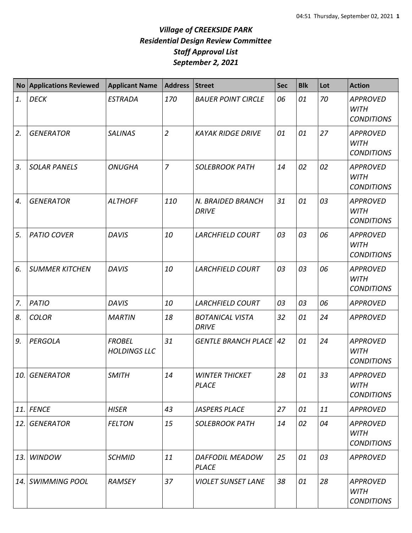| <b>No</b> | <b>Applications Reviewed</b> | <b>Applicant Name</b>                | Address        | <b>Street</b>                          | <b>Sec</b> | <b>Blk</b> | Lot | <b>Action</b>                                       |
|-----------|------------------------------|--------------------------------------|----------------|----------------------------------------|------------|------------|-----|-----------------------------------------------------|
| 1.        | <b>DECK</b>                  | <b>ESTRADA</b>                       | 170            | <b>BAUER POINT CIRCLE</b>              | 06         | 01         | 70  | <b>APPROVED</b><br><b>WITH</b><br><b>CONDITIONS</b> |
| 2.        | <b>GENERATOR</b>             | <b>SALINAS</b>                       | $\overline{2}$ | <b>KAYAK RIDGE DRIVE</b>               | 01         | 01         | 27  | <b>APPROVED</b><br><b>WITH</b><br><b>CONDITIONS</b> |
| 3.        | <b>SOLAR PANELS</b>          | <b>ONUGHA</b>                        | $\overline{7}$ | <b>SOLEBROOK PATH</b>                  | 14         | 02         | 02  | <b>APPROVED</b><br><b>WITH</b><br><b>CONDITIONS</b> |
| 4.        | <b>GENERATOR</b>             | <b>ALTHOFF</b>                       | 110            | N. BRAIDED BRANCH<br><b>DRIVE</b>      | 31         | 01         | 03  | <b>APPROVED</b><br><b>WITH</b><br><b>CONDITIONS</b> |
| 5.        | <b>PATIO COVER</b>           | <b>DAVIS</b>                         | 10             | <b>LARCHFIELD COURT</b>                | 03         | 03         | 06  | <b>APPROVED</b><br><b>WITH</b><br><b>CONDITIONS</b> |
| 6.        | <b>SUMMER KITCHEN</b>        | <b>DAVIS</b>                         | 10             | <b>LARCHFIELD COURT</b>                | 03         | 03         | 06  | <b>APPROVED</b><br><b>WITH</b><br><b>CONDITIONS</b> |
| 7.        | <b>PATIO</b>                 | <b>DAVIS</b>                         | 10             | <b>LARCHFIELD COURT</b>                | 03         | 03         | 06  | <b>APPROVED</b>                                     |
| 8.        | <b>COLOR</b>                 | <b>MARTIN</b>                        | 18             | <b>BOTANICAL VISTA</b><br><b>DRIVE</b> | 32         | 01         | 24  | <b>APPROVED</b>                                     |
| 9.        | PERGOLA                      | <b>FROBEL</b><br><b>HOLDINGS LLC</b> | 31             | <b>GENTLE BRANCH PLACE</b>             | 42         | 01         | 24  | <b>APPROVED</b><br><b>WITH</b><br><b>CONDITIONS</b> |
| 10.       | <b>GENERATOR</b>             | <b>SMITH</b>                         | 14             | <b>WINTER THICKET</b><br><b>PLACE</b>  | 28         | 01         | 33  | <b>APPROVED</b><br><b>WITH</b><br><b>CONDITIONS</b> |
| 11.       | <b>FENCE</b>                 | <b>HISER</b>                         | 43             | <b>JASPERS PLACE</b>                   | 27         | 01         | 11  | <b>APPROVED</b>                                     |
| 12.       | <b>GENERATOR</b>             | <b>FELTON</b>                        | 15             | <b>SOLEBROOK PATH</b>                  | 14         | 02         | 04  | <b>APPROVED</b><br><b>WITH</b><br><b>CONDITIONS</b> |
| 13.       | <b>WINDOW</b>                | <b>SCHMID</b>                        | 11             | DAFFODIL MEADOW<br><b>PLACE</b>        | 25         | 01         | 03  | <b>APPROVED</b>                                     |
| 14.       | <b>SWIMMING POOL</b>         | <b>RAMSEY</b>                        | 37             | <b>VIOLET SUNSET LANE</b>              | 38         | 01         | 28  | <b>APPROVED</b><br>WITH<br><b>CONDITIONS</b>        |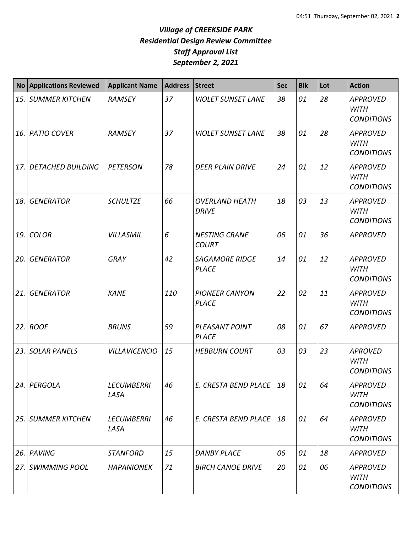| No    | <b>Applications Reviewed</b> | <b>Applicant Name</b>     | <b>Address</b> | <b>Street</b>                         | Sec | <b>Blk</b> | Lot | <b>Action</b>                                       |
|-------|------------------------------|---------------------------|----------------|---------------------------------------|-----|------------|-----|-----------------------------------------------------|
|       | <b>15. SUMMER KITCHEN</b>    | <b>RAMSEY</b>             | 37             | <b>VIOLET SUNSET LANE</b>             | 38  | 01         | 28  | <b>APPROVED</b><br><b>WITH</b><br><b>CONDITIONS</b> |
|       | <b>16. PATIO COVER</b>       | <b>RAMSEY</b>             | 37             | <b>VIOLET SUNSET LANE</b>             | 38  | 01         | 28  | <b>APPROVED</b><br><b>WITH</b><br><b>CONDITIONS</b> |
| 17.   | <b>DETACHED BUILDING</b>     | <b>PETERSON</b>           | 78             | <b>DEER PLAIN DRIVE</b>               | 24  | 01         | 12  | <b>APPROVED</b><br><b>WITH</b><br><b>CONDITIONS</b> |
| 18.   | <b>GENERATOR</b>             | <b>SCHULTZE</b>           | 66             | <b>OVERLAND HEATH</b><br><b>DRIVE</b> | 18  | 03         | 13  | <b>APPROVED</b><br><b>WITH</b><br><b>CONDITIONS</b> |
| 19. l | <b>COLOR</b>                 | <b>VILLASMIL</b>          | 6              | <b>NESTING CRANE</b><br><b>COURT</b>  | 06  | 01         | 36  | <b>APPROVED</b>                                     |
| 20.   | <b>GENERATOR</b>             | <b>GRAY</b>               | 42             | <b>SAGAMORE RIDGE</b><br><b>PLACE</b> | 14  | 01         | 12  | <b>APPROVED</b><br><b>WITH</b><br><b>CONDITIONS</b> |
| 21.   | <b>GENERATOR</b>             | <b>KANE</b>               | 110            | <b>PIONEER CANYON</b><br><b>PLACE</b> | 22  | 02         | 11  | <b>APPROVED</b><br><b>WITH</b><br><b>CONDITIONS</b> |
|       | 22. ROOF                     | <b>BRUNS</b>              | 59             | PLEASANT POINT<br><b>PLACE</b>        | 08  | 01         | 67  | <b>APPROVED</b>                                     |
| 23. l | <b>SOLAR PANELS</b>          | <b>VILLAVICENCIO</b>      | 15             | <b>HEBBURN COURT</b>                  | 03  | 03         | 23  | <b>APROVED</b><br><b>WITH</b><br><b>CONDITIONS</b>  |
|       | 24. PERGOLA                  | <b>LECUMBERRI</b><br>LASA | 46             | E. CRESTA BEND PLACE                  | 18  | 01         | 64  | <b>APPROVED</b><br><b>WITH</b><br><b>CONDITIONS</b> |
|       | 25. SUMMER KITCHEN           | <b>LECUMBERRI</b><br>LASA | 46             | E. CRESTA BEND PLACE                  | 18  | 01         | 64  | <b>APPROVED</b><br><b>WITH</b><br><b>CONDITIONS</b> |
|       | 26. PAVING                   | <b>STANFORD</b>           | 15             | <b>DANBY PLACE</b>                    | 06  | 01         | 18  | <b>APPROVED</b>                                     |
|       | 27. SWIMMING POOL            | <b>HAPANIONEK</b>         | 71             | <b>BIRCH CANOE DRIVE</b>              | 20  | 01         | 06  | <b>APPROVED</b><br><b>WITH</b><br><b>CONDITIONS</b> |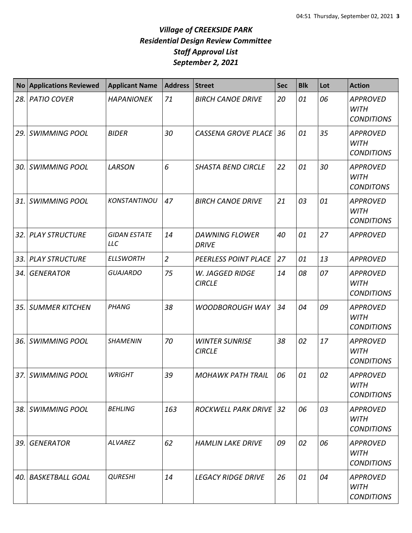| <b>No</b> | <b>Applications Reviewed</b> | <b>Applicant Name</b>             | <b>Address</b> | <b>Street</b>                          | Sec | <b>Blk</b> | Lot | <b>Action</b>                                       |
|-----------|------------------------------|-----------------------------------|----------------|----------------------------------------|-----|------------|-----|-----------------------------------------------------|
|           | 28. PATIO COVER              | <b>HAPANIONEK</b>                 | 71             | <b>BIRCH CANOE DRIVE</b>               | 20  | 01         | 06  | <b>APPROVED</b><br><b>WITH</b><br><b>CONDITIONS</b> |
| 29.       | <b>SWIMMING POOL</b>         | <b>BIDER</b>                      | 30             | <b>CASSENA GROVE PLACE</b>             | 36  | 01         | 35  | <b>APPROVED</b><br><b>WITH</b><br><b>CONDITIONS</b> |
| 30.       | <b>SWIMMING POOL</b>         | LARSON                            | 6              | <b>SHASTA BEND CIRCLE</b>              | 22  | 01         | 30  | <b>APPROVED</b><br><b>WITH</b><br><b>CONDITONS</b>  |
| 31.       | <b>SWIMMING POOL</b>         | KONSTANTINOU                      | 47             | <b>BIRCH CANOE DRIVE</b>               | 21  | 03         | 01  | <b>APPROVED</b><br><b>WITH</b><br><b>CONDITIONS</b> |
|           | 32. PLAY STRUCTURE           | <b>GIDAN ESTATE</b><br><b>LLC</b> | 14             | <b>DAWNING FLOWER</b><br><b>DRIVE</b>  | 40  | 01         | 27  | <b>APPROVED</b>                                     |
|           | 33. PLAY STRUCTURE           | <b>ELLSWORTH</b>                  | $\overline{2}$ | <b>PEERLESS POINT PLACE</b>            | 27  | 01         | 13  | <b>APPROVED</b>                                     |
| 34.       | <b>GENERATOR</b>             | <b>GUAJARDO</b>                   | 75             | W. JAGGED RIDGE<br><b>CIRCLE</b>       | 14  | 08         | 07  | <b>APPROVED</b><br><b>WITH</b><br><b>CONDITIONS</b> |
| 35.       | <b>SUMMER KITCHEN</b>        | PHANG                             | 38             | <b>WOODBOROUGH WAY</b>                 | 34  | 04         | 09  | <b>APPROVED</b><br><b>WITH</b><br><b>CONDITIONS</b> |
| 36.       | <b>SWIMMING POOL</b>         | <b>SHAMENIN</b>                   | 70             | <b>WINTER SUNRISE</b><br><b>CIRCLE</b> | 38  | 02         | 17  | <b>APPROVED</b><br><b>WITH</b><br><b>CONDITIONS</b> |
|           | 37. SWIMMING POOL            | <b>WRIGHT</b>                     | 39             | <b>MOHAWK PATH TRAIL</b>               | 06  | 01         | 02  | <b>APPROVED</b><br><b>WITH</b><br><b>CONDITIONS</b> |
|           | 38. SWIMMING POOL            | <b>BEHLING</b>                    | 163            | <b>ROCKWELL PARK DRIVE 32</b>          |     | 06         | 03  | <b>APPROVED</b><br>WITH<br><b>CONDITIONS</b>        |
| 39.       | <b>GENERATOR</b>             | ALVAREZ                           | 62             | <b>HAMLIN LAKE DRIVE</b>               | 09  | 02         | 06  | <b>APPROVED</b><br><b>WITH</b><br><b>CONDITIONS</b> |
|           | 40. BASKETBALL GOAL          | <b>QURESHI</b>                    | 14             | <b>LEGACY RIDGE DRIVE</b>              | 26  | 01         | 04  | <b>APPROVED</b><br>WITH<br><b>CONDITIONS</b>        |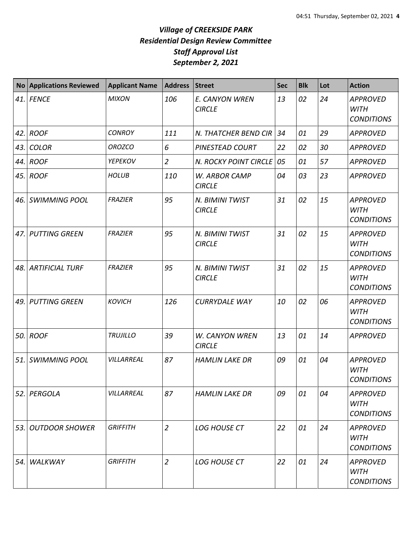| <b>No</b> | <b>Applications Reviewed</b> | <b>Applicant Name</b> | <b>Address</b> | <b>Street</b>                    | <b>Sec</b> | <b>Blk</b> | Lot | <b>Action</b>                                       |
|-----------|------------------------------|-----------------------|----------------|----------------------------------|------------|------------|-----|-----------------------------------------------------|
| 41.       | <b>FENCE</b>                 | <b>MIXON</b>          | 106            | E. CANYON WREN<br><b>CIRCLE</b>  | 13         | 02         | 24  | <b>APPROVED</b><br><b>WITH</b><br><b>CONDITIONS</b> |
| 42.       | <b>ROOF</b>                  | <b>CONROY</b>         | 111            | N. THATCHER BEND CIR             | 34         | 01         | 29  | <b>APPROVED</b>                                     |
| 43.       | <b>COLOR</b>                 | <b>OROZCO</b>         | 6              | PINESTEAD COURT                  | 22         | 02         | 30  | <b>APPROVED</b>                                     |
| 44.       | <b>ROOF</b>                  | YEPEKOV               | $\overline{2}$ | N. ROCKY POINT CIRCLE            | 05         | 01         | 57  | <b>APPROVED</b>                                     |
| 45.       | <b>ROOF</b>                  | <b>HOLUB</b>          | 110            | W. ARBOR CAMP<br><b>CIRCLE</b>   | 04         | 03         | 23  | <b>APPROVED</b>                                     |
| 46.       | <b>SWIMMING POOL</b>         | <b>FRAZIER</b>        | 95             | N. BIMINI TWIST<br><b>CIRCLE</b> | 31         | 02         | 15  | <b>APPROVED</b><br><b>WITH</b><br><b>CONDITIONS</b> |
| 47.       | <b>PUTTING GREEN</b>         | <b>FRAZIER</b>        | 95             | N. BIMINI TWIST<br><b>CIRCLE</b> | 31         | 02         | 15  | <b>APPROVED</b><br><b>WITH</b><br><b>CONDITIONS</b> |
| 48.       | <b>ARTIFICIAL TURF</b>       | <b>FRAZIER</b>        | 95             | N. BIMINI TWIST<br><b>CIRCLE</b> | 31         | 02         | 15  | <b>APPROVED</b><br><b>WITH</b><br><b>CONDITIONS</b> |
| 49.       | <b>PUTTING GREEN</b>         | <b>KOVICH</b>         | 126            | <b>CURRYDALE WAY</b>             | 10         | 02         | 06  | <b>APPROVED</b><br><b>WITH</b><br><b>CONDITIONS</b> |
| 50.       | <b>ROOF</b>                  | <b>TRUJILLO</b>       | 39             | W. CANYON WREN<br><b>CIRCLE</b>  | 13         | 01         | 14  | <b>APPROVED</b>                                     |
| 51.       | <b>SWIMMING POOL</b>         | VILLARREAL            | 87             | <b>HAMLIN LAKE DR</b>            | 09         | 01         | 04  | <b>APPROVED</b><br><b>WITH</b><br><b>CONDITIONS</b> |
| 52.       | PERGOLA                      | VILLARREAL            | 87             | <b>HAMLIN LAKE DR</b>            | 09         | 01         | 04  | <b>APPROVED</b><br><b>WITH</b><br><b>CONDITIONS</b> |
| 53.       | <b>OUTDOOR SHOWER</b>        | <b>GRIFFITH</b>       | $\overline{2}$ | <b>LOG HOUSE CT</b>              | 22         | 01         | 24  | <b>APPROVED</b><br><b>WITH</b><br><b>CONDITIONS</b> |
| 54.       | WALKWAY                      | <b>GRIFFITH</b>       | $\overline{2}$ | <b>LOG HOUSE CT</b>              | 22         | 01         | 24  | <b>APPROVED</b><br><b>WITH</b><br><b>CONDITIONS</b> |